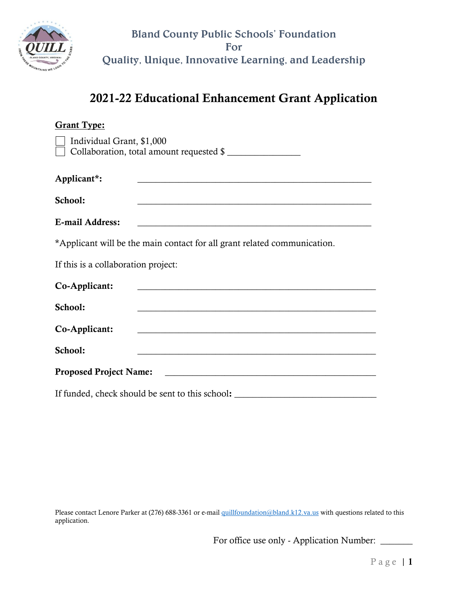

# 2021-22 Educational Enhancement Grant Application

| <b>Grant Type:</b>                                                               |                                                                                                                        |  |
|----------------------------------------------------------------------------------|------------------------------------------------------------------------------------------------------------------------|--|
| Individual Grant, \$1,000<br>Collaboration, total amount requested \$            |                                                                                                                        |  |
| Applicant*:                                                                      | <u> 1989 - Johann Barn, mars ann an t-Amhain ann an t-Amhain an t-Amhain an t-Amhain an t-Amhain an t-Amhain an t-</u> |  |
| School:                                                                          |                                                                                                                        |  |
| <b>E-mail Address:</b>                                                           | <u> 1980 - Johann Barnett, fransk politiker (d. 1980)</u>                                                              |  |
|                                                                                  | *Applicant will be the main contact for all grant related communication.                                               |  |
| If this is a collaboration project:                                              |                                                                                                                        |  |
| Co-Applicant:                                                                    | <u> 1989 - Johann Barn, fransk politik (d. 1989)</u>                                                                   |  |
| School:                                                                          | <u> 1989 - Johann Stoff, deutscher Stoffen und der Stoffen und der Stoffen und der Stoffen und der Stoffen und de</u>  |  |
| Co-Applicant:                                                                    |                                                                                                                        |  |
| School:                                                                          |                                                                                                                        |  |
| <b>Proposed Project Name:</b><br><u> 1980 - Andrea Andrew Maria (h. 1980).</u>   |                                                                                                                        |  |
| If funded, check should be sent to this school: ________________________________ |                                                                                                                        |  |

Please contact Lenore Parker at (276) 688-3361 or e-mail [quillfoundation@bland.k12.va.us](mailto:quillfoundation@bland.k12.va.us) with questions related to this application.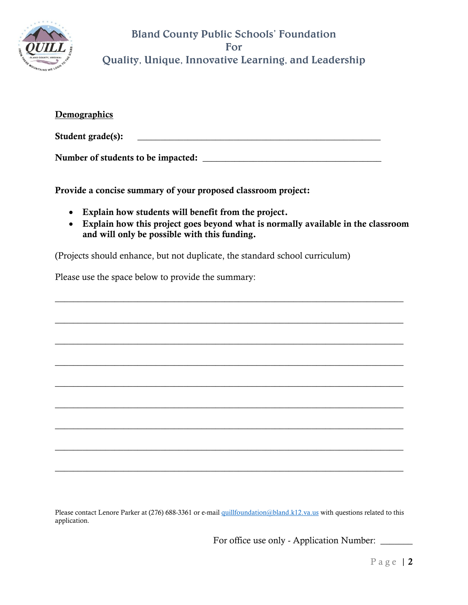

| Demographics                       |  |  |
|------------------------------------|--|--|
| Student grade(s):                  |  |  |
| Number of students to be impacted: |  |  |

Provide a concise summary of your proposed classroom project:

- Explain how students will benefit from the project.
- Explain how this project goes beyond what is normally available in the classroom and will only be possible with this funding.

\_\_\_\_\_\_\_\_\_\_\_\_\_\_\_\_\_\_\_\_\_\_\_\_\_\_\_\_\_\_\_\_\_\_\_\_\_\_\_\_\_\_\_\_\_\_\_\_\_\_\_\_\_\_\_\_\_\_\_\_\_\_\_\_\_\_\_\_\_\_\_\_\_\_\_\_

\_\_\_\_\_\_\_\_\_\_\_\_\_\_\_\_\_\_\_\_\_\_\_\_\_\_\_\_\_\_\_\_\_\_\_\_\_\_\_\_\_\_\_\_\_\_\_\_\_\_\_\_\_\_\_\_\_\_\_\_\_\_\_\_\_\_\_\_\_\_\_\_\_\_\_\_

\_\_\_\_\_\_\_\_\_\_\_\_\_\_\_\_\_\_\_\_\_\_\_\_\_\_\_\_\_\_\_\_\_\_\_\_\_\_\_\_\_\_\_\_\_\_\_\_\_\_\_\_\_\_\_\_\_\_\_\_\_\_\_\_\_\_\_\_\_\_\_\_\_\_\_\_

\_\_\_\_\_\_\_\_\_\_\_\_\_\_\_\_\_\_\_\_\_\_\_\_\_\_\_\_\_\_\_\_\_\_\_\_\_\_\_\_\_\_\_\_\_\_\_\_\_\_\_\_\_\_\_\_\_\_\_\_\_\_\_\_\_\_\_\_\_\_\_\_\_\_\_\_

\_\_\_\_\_\_\_\_\_\_\_\_\_\_\_\_\_\_\_\_\_\_\_\_\_\_\_\_\_\_\_\_\_\_\_\_\_\_\_\_\_\_\_\_\_\_\_\_\_\_\_\_\_\_\_\_\_\_\_\_\_\_\_\_\_\_\_\_\_\_\_\_\_\_\_\_

\_\_\_\_\_\_\_\_\_\_\_\_\_\_\_\_\_\_\_\_\_\_\_\_\_\_\_\_\_\_\_\_\_\_\_\_\_\_\_\_\_\_\_\_\_\_\_\_\_\_\_\_\_\_\_\_\_\_\_\_\_\_\_\_\_\_\_\_\_\_\_\_\_\_\_\_

\_\_\_\_\_\_\_\_\_\_\_\_\_\_\_\_\_\_\_\_\_\_\_\_\_\_\_\_\_\_\_\_\_\_\_\_\_\_\_\_\_\_\_\_\_\_\_\_\_\_\_\_\_\_\_\_\_\_\_\_\_\_\_\_\_\_\_\_\_\_\_\_\_\_\_\_

\_\_\_\_\_\_\_\_\_\_\_\_\_\_\_\_\_\_\_\_\_\_\_\_\_\_\_\_\_\_\_\_\_\_\_\_\_\_\_\_\_\_\_\_\_\_\_\_\_\_\_\_\_\_\_\_\_\_\_\_\_\_\_\_\_\_\_\_\_\_\_\_\_\_\_\_

\_\_\_\_\_\_\_\_\_\_\_\_\_\_\_\_\_\_\_\_\_\_\_\_\_\_\_\_\_\_\_\_\_\_\_\_\_\_\_\_\_\_\_\_\_\_\_\_\_\_\_\_\_\_\_\_\_\_\_\_\_\_\_\_\_\_\_\_\_\_\_\_\_\_\_\_

(Projects should enhance, but not duplicate, the standard school curriculum)

Please use the space below to provide the summary:

Please contact Lenore Parker at (276) 688-3361 or e-mail [quillfoundation@bland.k12.va.us](mailto:quillfoundation@bland.k12.va.us) with questions related to this application.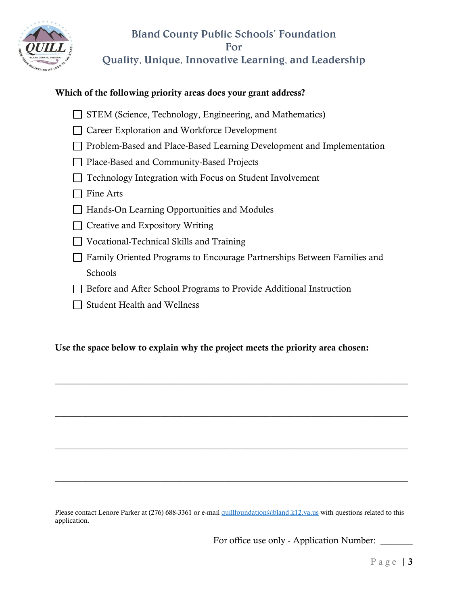

#### Which of the following priority areas does your grant address?

- $\Box$  STEM (Science, Technology, Engineering, and Mathematics)
- □ Career Exploration and Workforce Development
- $\Box$  Problem-Based and Place-Based Learning Development and Implementation
- Place-Based and Community-Based Projects
- $\Box$  Technology Integration with Focus on Student Involvement
- $\Box$  Fine Arts
- □ Hands-On Learning Opportunities and Modules
- $\Box$  Creative and Expository Writing
- Vocational-Technical Skills and Training
- □ Family Oriented Programs to Encourage Partnerships Between Families and Schools

\_\_\_\_\_\_\_\_\_\_\_\_\_\_\_\_\_\_\_\_\_\_\_\_\_\_\_\_\_\_\_\_\_\_\_\_\_\_\_\_\_\_\_\_\_\_\_\_\_\_\_\_\_\_\_\_\_\_\_\_\_\_\_\_\_\_\_\_\_\_\_\_\_\_\_\_\_

\_\_\_\_\_\_\_\_\_\_\_\_\_\_\_\_\_\_\_\_\_\_\_\_\_\_\_\_\_\_\_\_\_\_\_\_\_\_\_\_\_\_\_\_\_\_\_\_\_\_\_\_\_\_\_\_\_\_\_\_\_\_\_\_\_\_\_\_\_\_\_\_\_\_\_\_\_

\_\_\_\_\_\_\_\_\_\_\_\_\_\_\_\_\_\_\_\_\_\_\_\_\_\_\_\_\_\_\_\_\_\_\_\_\_\_\_\_\_\_\_\_\_\_\_\_\_\_\_\_\_\_\_\_\_\_\_\_\_\_\_\_\_\_\_\_\_\_\_\_\_\_\_\_\_

\_\_\_\_\_\_\_\_\_\_\_\_\_\_\_\_\_\_\_\_\_\_\_\_\_\_\_\_\_\_\_\_\_\_\_\_\_\_\_\_\_\_\_\_\_\_\_\_\_\_\_\_\_\_\_\_\_\_\_\_\_\_\_\_\_\_\_\_\_\_\_\_\_\_\_\_\_

- □ Before and After School Programs to Provide Additional Instruction
- $\Box$  Student Health and Wellness

#### Use the space below to explain why the project meets the priority area chosen:

Please contact Lenore Parker at (276) 688-3361 or e-mail [quillfoundation@bland.k12.va.us](mailto:quillfoundation@bland.k12.va.us) with questions related to this application.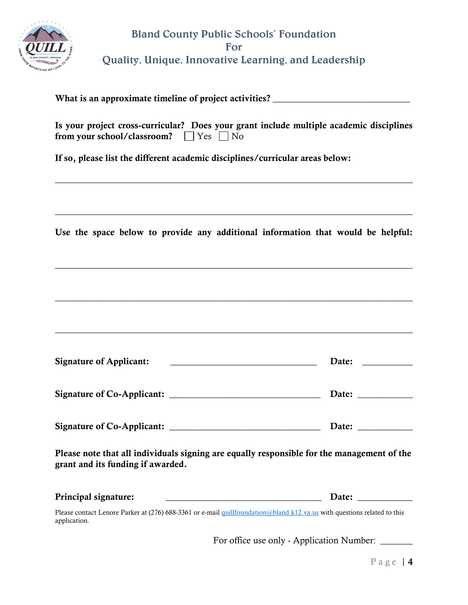

| What is an approximate timeline of project activities? __________________________                                                                        |                       |
|----------------------------------------------------------------------------------------------------------------------------------------------------------|-----------------------|
| Is your project cross-curricular? Does your grant include multiple academic disciplines<br>from your school/classroom? $\Box$ Yes $\Box$ No              |                       |
| If so, please list the different academic disciplines/curricular areas below:                                                                            |                       |
| Use the space below to provide any additional information that would be helpful:                                                                         |                       |
|                                                                                                                                                          |                       |
| <b>Signature of Applicant:</b><br><u> 1986 - Johann Stein, marwolaethau a bhann an t-Albann an t-Albann an t-Albann an t-Albann an t-Albann an t-Alb</u> |                       |
|                                                                                                                                                          |                       |
|                                                                                                                                                          |                       |
| Please note that all individuals signing are equally responsible for the management of the<br>grant and its funding if awarded.                          |                       |
| Principal signature:                                                                                                                                     | Date: $\qquad \qquad$ |
| Please contact Lenore Parker at (276) 688-3361 or e-mail quillfoundation@bland.k12.va.us with questions related to this<br>application.                  |                       |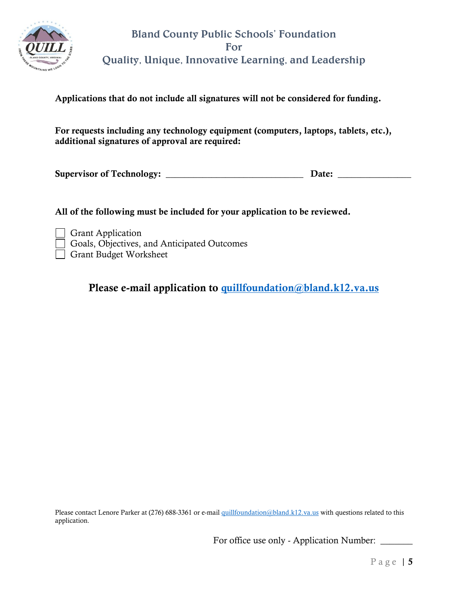

Applications that do not include all signatures will not be considered for funding.

For requests including any technology equipment (computers, laptops, tablets, etc.), additional signatures of approval are required:

Supervisor of Technology: \_\_\_\_\_\_\_\_\_\_\_\_\_\_\_\_\_\_\_\_\_\_\_\_\_\_\_\_\_\_ Date: \_\_\_\_\_\_\_\_\_\_\_\_\_\_\_\_

All of the following must be included for your application to be reviewed.

Grant Application Goals, Objectives, and Anticipated Outcomes Grant Budget Worksheet

Please e-mail application to [quillfoundation@bland.k12.va.us](mailto:quillfoundation@bland.k12.va.us)

Please contact Lenore Parker at (276) 688-3361 or e-mail [quillfoundation@bland.k12.va.us](mailto:quillfoundation@bland.k12.va.us) with questions related to this application.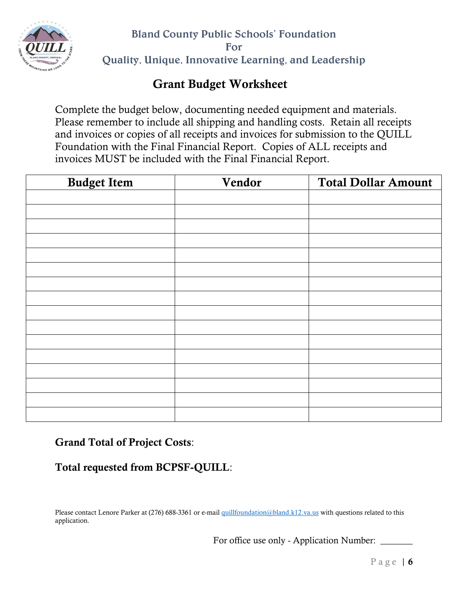

# Grant Budget Worksheet

Complete the budget below, documenting needed equipment and materials. Please remember to include all shipping and handling costs. Retain all receipts and invoices or copies of all receipts and invoices for submission to the QUILL Foundation with the Final Financial Report. Copies of ALL receipts and invoices MUST be included with the Final Financial Report.

| <b>Budget Item</b> | Vendor | <b>Total Dollar Amount</b> |
|--------------------|--------|----------------------------|
|                    |        |                            |
|                    |        |                            |
|                    |        |                            |
|                    |        |                            |
|                    |        |                            |
|                    |        |                            |
|                    |        |                            |
|                    |        |                            |
|                    |        |                            |
|                    |        |                            |
|                    |        |                            |
|                    |        |                            |
|                    |        |                            |
|                    |        |                            |
|                    |        |                            |
|                    |        |                            |

Grand Total of Project Costs:

### Total requested from BCPSF-QUILL:

Please contact Lenore Parker at (276) 688-3361 or e-mail [quillfoundation@bland.k12.va.us](mailto:quillfoundation@bland.k12.va.us) with questions related to this application.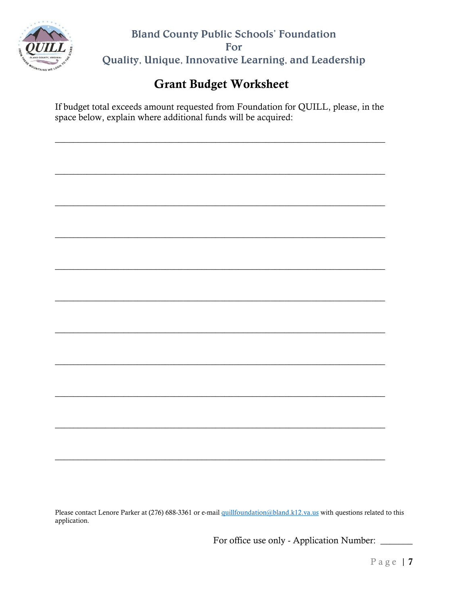

# Grant Budget Worksheet

If budget total exceeds amount requested from Foundation for QUILL, please, in the space below, explain where additional funds will be acquired:

 $\_$  , and the set of the set of the set of the set of the set of the set of the set of the set of the set of the set of the set of the set of the set of the set of the set of the set of the set of the set of the set of th

Please contact Lenore Parker at (276) 688-3361 or e-mail [quillfoundation@bland.k12.va.us](mailto:quillfoundation@bland.k12.va.us) with questions related to this application.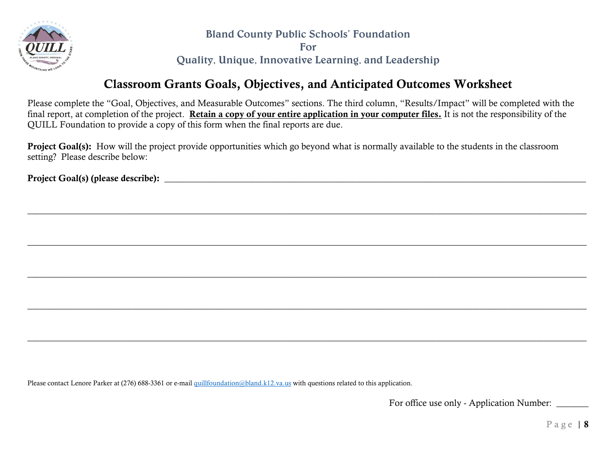

Bland County Public Schools' Foundation

For

Quality, Unique, Innovative Learning, and Leadership

## Classroom Grants Goals, Objectives, and Anticipated Outcomes Worksheet

Please complete the "Goal, Objectives, and Measurable Outcomes" sections. The third column, "Results/Impact" will be completed with the final report, at completion of the project. Retain a copy of your entire application in your computer files. It is not the responsibility of the QUILL Foundation to provide a copy of this form when the final reports are due.

 $\_$  , and the set of the set of the set of the set of the set of the set of the set of the set of the set of the set of the set of the set of the set of the set of the set of the set of the set of the set of the set of th

 $\_$  , and the set of the set of the set of the set of the set of the set of the set of the set of the set of the set of the set of the set of the set of the set of the set of the set of the set of the set of the set of th

 $\Box$  . The contract of the contract of the contract of the contract of the contract of the contract of the contract of the contract of the contract of the contract of the contract of the contract of the contract of the co

 $\Box$  . The contract of the contract of the contract of the contract of the contract of the contract of the contract of the contract of the contract of the contract of the contract of the contract of the contract of the co

 $\_$  , and the set of the set of the set of the set of the set of the set of the set of the set of the set of the set of the set of the set of the set of the set of the set of the set of the set of the set of the set of th

Project Goal(s): How will the project provide opportunities which go beyond what is normally available to the students in the classroom setting? Please describe below:

Project Goal(s) (please describe): \_\_\_\_\_\_\_\_\_\_\_\_\_\_\_\_\_\_\_\_\_\_\_\_\_\_\_\_\_\_\_\_\_\_\_\_\_\_\_\_\_\_\_\_\_\_\_\_\_\_\_\_\_\_\_\_\_\_\_\_\_\_\_\_\_\_\_\_\_\_\_\_\_\_\_\_\_\_\_\_\_\_\_\_\_\_\_\_\_\_\_\_

Please contact Lenore Parker at (276) 688-3361 or e-mail [quillfoundation@bland.k12.va.us](mailto:quillfoundation@bland.k12.va.us) with questions related to this application.